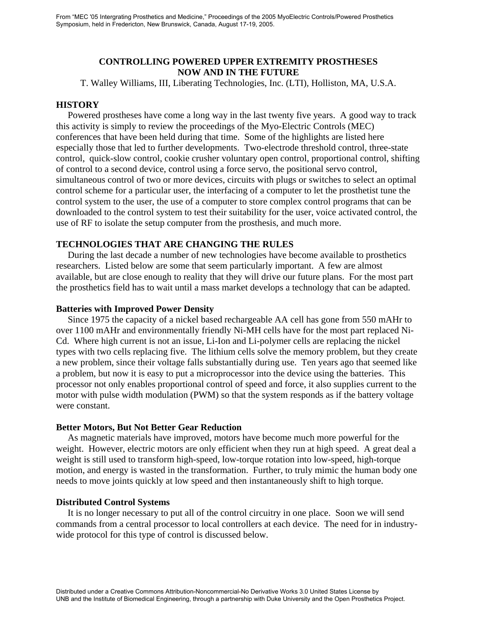# **CONTROLLING POWERED UPPER EXTREMITY PROSTHESES NOW AND IN THE FUTURE**

T. Walley Williams, III, Liberating Technologies, Inc. (LTI), Holliston, MA, U.S.A.

### **HISTORY**

 Powered prostheses have come a long way in the last twenty five years. A good way to track this activity is simply to review the proceedings of the Myo-Electric Controls (MEC) conferences that have been held during that time. Some of the highlights are listed here especially those that led to further developments. Two-electrode threshold control, three-state control, quick-slow control, cookie crusher voluntary open control, proportional control, shifting of control to a second device, control using a force servo, the positional servo control, simultaneous control of two or more devices, circuits with plugs or switches to select an optimal control scheme for a particular user, the interfacing of a computer to let the prosthetist tune the control system to the user, the use of a computer to store complex control programs that can be downloaded to the control system to test their suitability for the user, voice activated control, the use of RF to isolate the setup computer from the prosthesis, and much more.

# **TECHNOLOGIES THAT ARE CHANGING THE RULES**

 During the last decade a number of new technologies have become available to prosthetics researchers. Listed below are some that seem particularly important. A few are almost available, but are close enough to reality that they will drive our future plans. For the most part the prosthetics field has to wait until a mass market develops a technology that can be adapted.

### **Batteries with Improved Power Density**

 Since 1975 the capacity of a nickel based rechargeable AA cell has gone from 550 mAHr to over 1100 mAHr and environmentally friendly Ni-MH cells have for the most part replaced Ni-Cd. Where high current is not an issue, Li-Ion and Li-polymer cells are replacing the nickel types with two cells replacing five. The lithium cells solve the memory problem, but they create a new problem, since their voltage falls substantially during use. Ten years ago that seemed like a problem, but now it is easy to put a microprocessor into the device using the batteries. This processor not only enables proportional control of speed and force, it also supplies current to the motor with pulse width modulation (PWM) so that the system responds as if the battery voltage were constant.

#### **Better Motors, But Not Better Gear Reduction**

 As magnetic materials have improved, motors have become much more powerful for the weight. However, electric motors are only efficient when they run at high speed. A great deal a weight is still used to transform high-speed, low-torque rotation into low-speed, high-torque motion, and energy is wasted in the transformation. Further, to truly mimic the human body one needs to move joints quickly at low speed and then instantaneously shift to high torque.

### **Distributed Control Systems**

 It is no longer necessary to put all of the control circuitry in one place. Soon we will send commands from a central processor to local controllers at each device. The need for in industrywide protocol for this type of control is discussed below.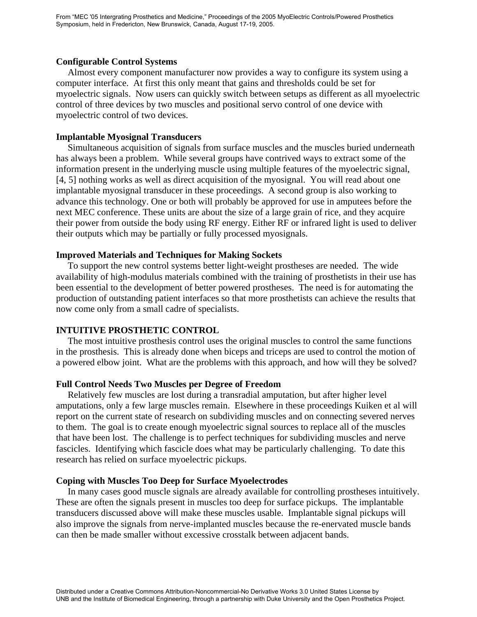## **Configurable Control Systems**

 Almost every component manufacturer now provides a way to configure its system using a computer interface. At first this only meant that gains and thresholds could be set for myoelectric signals. Now users can quickly switch between setups as different as all myoelectric control of three devices by two muscles and positional servo control of one device with myoelectric control of two devices.

## **Implantable Myosignal Transducers**

Simultaneous acquisition of signals from surface muscles and the muscles buried underneath has always been a problem. While several groups have contrived ways to extract some of the information present in the underlying muscle using multiple features of the myoelectric signal, [4, 5] nothing works as well as direct acquisition of the myosignal. You will read about one implantable myosignal transducer in these proceedings. A second group is also working to advance this technology. One or both will probably be approved for use in amputees before the next MEC conference. These units are about the size of a large grain of rice, and they acquire their power from outside the body using RF energy. Either RF or infrared light is used to deliver their outputs which may be partially or fully processed myosignals.

## **Improved Materials and Techniques for Making Sockets**

 To support the new control systems better light-weight prostheses are needed. The wide availability of high-modulus materials combined with the training of prosthetists in their use has been essential to the development of better powered prostheses. The need is for automating the production of outstanding patient interfaces so that more prosthetists can achieve the results that now come only from a small cadre of specialists.

# **INTUITIVE PROSTHETIC CONTROL**

The most intuitive prosthesis control uses the original muscles to control the same functions in the prosthesis. This is already done when biceps and triceps are used to control the motion of a powered elbow joint. What are the problems with this approach, and how will they be solved?

### **Full Control Needs Two Muscles per Degree of Freedom**

 Relatively few muscles are lost during a transradial amputation, but after higher level amputations, only a few large muscles remain. Elsewhere in these proceedings Kuiken et al will report on the current state of research on subdividing muscles and on connecting severed nerves to them. The goal is to create enough myoelectric signal sources to replace all of the muscles that have been lost. The challenge is to perfect techniques for subdividing muscles and nerve fascicles. Identifying which fascicle does what may be particularly challenging. To date this research has relied on surface myoelectric pickups.

### **Coping with Muscles Too Deep for Surface Myoelectrodes**

 In many cases good muscle signals are already available for controlling prostheses intuitively. These are often the signals present in muscles too deep for surface pickups. The implantable transducers discussed above will make these muscles usable. Implantable signal pickups will also improve the signals from nerve-implanted muscles because the re-enervated muscle bands can then be made smaller without excessive crosstalk between adjacent bands.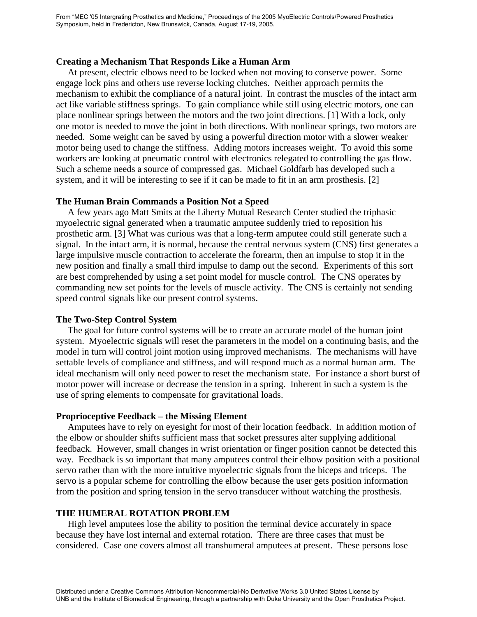### **Creating a Mechanism That Responds Like a Human Arm**

 At present, electric elbows need to be locked when not moving to conserve power. Some engage lock pins and others use reverse locking clutches. Neither approach permits the mechanism to exhibit the compliance of a natural joint. In contrast the muscles of the intact arm act like variable stiffness springs. To gain compliance while still using electric motors, one can place nonlinear springs between the motors and the two joint directions. [1] With a lock, only one motor is needed to move the joint in both directions. With nonlinear springs, two motors are needed. Some weight can be saved by using a powerful direction motor with a slower weaker motor being used to change the stiffness. Adding motors increases weight. To avoid this some workers are looking at pneumatic control with electronics relegated to controlling the gas flow. Such a scheme needs a source of compressed gas. Michael Goldfarb has developed such a system, and it will be interesting to see if it can be made to fit in an arm prosthesis. [2]

### **The Human Brain Commands a Position Not a Speed**

 A few years ago Matt Smits at the Liberty Mutual Research Center studied the triphasic myoelectric signal generated when a traumatic amputee suddenly tried to reposition his prosthetic arm. [3] What was curious was that a long-term amputee could still generate such a signal. In the intact arm, it is normal, because the central nervous system (CNS) first generates a large impulsive muscle contraction to accelerate the forearm, then an impulse to stop it in the new position and finally a small third impulse to damp out the second. Experiments of this sort are best comprehended by using a set point model for muscle control. The CNS operates by commanding new set points for the levels of muscle activity. The CNS is certainly not sending speed control signals like our present control systems.

#### **The Two-Step Control System**

 The goal for future control systems will be to create an accurate model of the human joint system. Myoelectric signals will reset the parameters in the model on a continuing basis, and the model in turn will control joint motion using improved mechanisms. The mechanisms will have settable levels of compliance and stiffness, and will respond much as a normal human arm. The ideal mechanism will only need power to reset the mechanism state. For instance a short burst of motor power will increase or decrease the tension in a spring. Inherent in such a system is the use of spring elements to compensate for gravitational loads.

#### **Proprioceptive Feedback – the Missing Element**

 Amputees have to rely on eyesight for most of their location feedback. In addition motion of the elbow or shoulder shifts sufficient mass that socket pressures alter supplying additional feedback. However, small changes in wrist orientation or finger position cannot be detected this way. Feedback is so important that many amputees control their elbow position with a positional servo rather than with the more intuitive myoelectric signals from the biceps and triceps. The servo is a popular scheme for controlling the elbow because the user gets position information from the position and spring tension in the servo transducer without watching the prosthesis.

### **THE HUMERAL ROTATION PROBLEM**

High level amputees lose the ability to position the terminal device accurately in space because they have lost internal and external rotation. There are three cases that must be considered. Case one covers almost all transhumeral amputees at present. These persons lose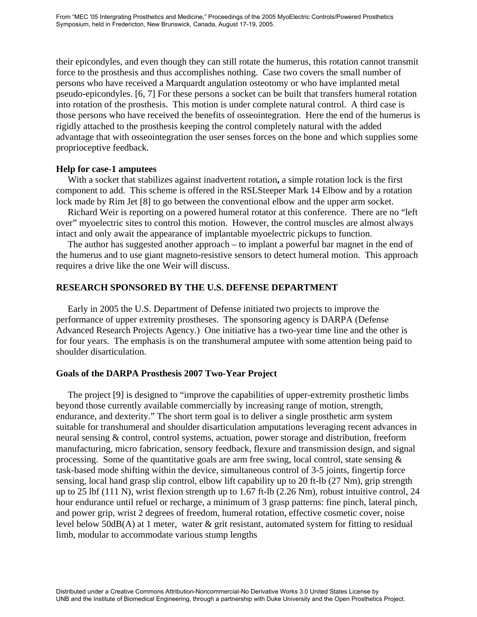their epicondyles, and even though they can still rotate the humerus, this rotation cannot transmit force to the prosthesis and thus accomplishes nothing. Case two covers the small number of persons who have received a Marquardt angulation osteotomy or who have implanted metal pseudo-epicondyles. [6, 7] For these persons a socket can be built that transfers humeral rotation into rotation of the prosthesis. This motion is under complete natural control. A third case is those persons who have received the benefits of osseointegration. Here the end of the humerus is rigidly attached to the prosthesis keeping the control completely natural with the added advantage that with osseointegration the user senses forces on the bone and which supplies some proprioceptive feedback.

#### **Help for case-1 amputees**

With a socket that stabilizes against inadvertent rotation**,** a simple rotation lock is the first component to add. This scheme is offered in the RSLSteeper Mark 14 Elbow and by a rotation lock made by Rim Jet [8] to go between the conventional elbow and the upper arm socket.

 Richard Weir is reporting on a powered humeral rotator at this conference. There are no "left over" myoelectric sites to control this motion. However, the control muscles are almost always intact and only await the appearance of implantable myoelectric pickups to function.

The author has suggested another approach – to implant a powerful bar magnet in the end of the humerus and to use giant magneto-resistive sensors to detect humeral motion. This approach requires a drive like the one Weir will discuss.

# **RESEARCH SPONSORED BY THE U.S. DEFENSE DEPARTMENT**

 Early in 2005 the U.S. Department of Defense initiated two projects to improve the performance of upper extremity prostheses. The sponsoring agency is DARPA (Defense Advanced Research Projects Agency.) One initiative has a two-year time line and the other is for four years. The emphasis is on the transhumeral amputee with some attention being paid to shoulder disarticulation.

### **Goals of the DARPA Prosthesis 2007 Two-Year Project**

 The project [9] is designed to "improve the capabilities of upper-extremity prosthetic limbs beyond those currently available commercially by increasing range of motion, strength, endurance, and dexterity." The short term goal is to deliver a single prosthetic arm system suitable for transhumeral and shoulder disarticulation amputations leveraging recent advances in neural sensing & control, control systems, actuation, power storage and distribution, freeform manufacturing, micro fabrication, sensory feedback, flexure and transmission design, and signal processing. Some of the quantitative goals are arm free swing, local control, state sensing  $\&$ task-based mode shifting within the device, simultaneous control of 3-5 joints, fingertip force sensing, local hand grasp slip control, elbow lift capability up to 20 ft-lb (27 Nm), grip strength up to 25 lbf (111 N), wrist flexion strength up to 1.67 ft-lb (2.26 Nm), robust intuitive control, 24 hour endurance until refuel or recharge, a minimum of 3 grasp patterns: fine pinch, lateral pinch, and power grip, wrist 2 degrees of freedom, humeral rotation, effective cosmetic cover, noise level below 50dB(A) at 1 meter, water & grit resistant, automated system for fitting to residual limb, modular to accommodate various stump lengths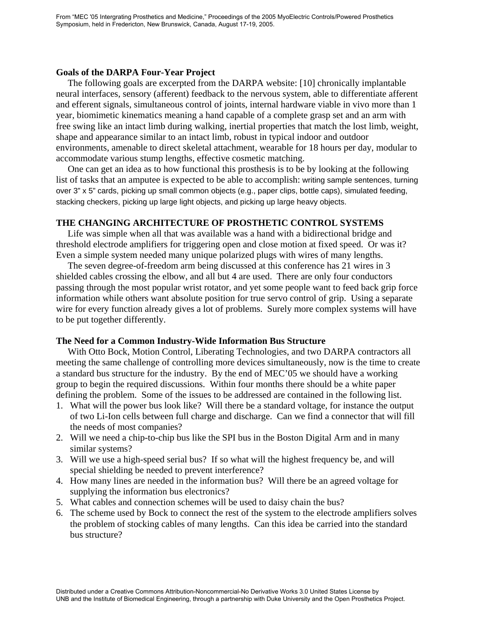### **Goals of the DARPA Four-Year Project**

 The following goals are excerpted from the DARPA website: [10] chronically implantable neural interfaces, sensory (afferent) feedback to the nervous system, able to differentiate afferent and efferent signals, simultaneous control of joints, internal hardware viable in vivo more than 1 year, biomimetic kinematics meaning a hand capable of a complete grasp set and an arm with free swing like an intact limb during walking, inertial properties that match the lost limb, weight, shape and appearance similar to an intact limb, robust in typical indoor and outdoor environments, amenable to direct skeletal attachment, wearable for 18 hours per day, modular to accommodate various stump lengths, effective cosmetic matching.

 One can get an idea as to how functional this prosthesis is to be by looking at the following list of tasks that an amputee is expected to be able to accomplish: writing sample sentences, turning over 3" x 5" cards, picking up small common objects (e.g., paper clips, bottle caps), simulated feeding, stacking checkers, picking up large light objects, and picking up large heavy objects.

# **THE CHANGING ARCHITECTURE OF PROSTHETIC CONTROL SYSTEMS**

 Life was simple when all that was available was a hand with a bidirectional bridge and threshold electrode amplifiers for triggering open and close motion at fixed speed. Or was it? Even a simple system needed many unique polarized plugs with wires of many lengths.

 The seven degree-of-freedom arm being discussed at this conference has 21 wires in 3 shielded cables crossing the elbow, and all but 4 are used. There are only four conductors passing through the most popular wrist rotator, and yet some people want to feed back grip force information while others want absolute position for true servo control of grip. Using a separate wire for every function already gives a lot of problems. Surely more complex systems will have to be put together differently.

# **The Need for a Common Industry-Wide Information Bus Structure**

 With Otto Bock, Motion Control, Liberating Technologies, and two DARPA contractors all meeting the same challenge of controlling more devices simultaneously, now is the time to create a standard bus structure for the industry. By the end of MEC'05 we should have a working group to begin the required discussions. Within four months there should be a white paper defining the problem. Some of the issues to be addressed are contained in the following list.

- 1. What will the power bus look like? Will there be a standard voltage, for instance the output of two Li-Ion cells between full charge and discharge. Can we find a connector that will fill the needs of most companies?
- 2. Will we need a chip-to-chip bus like the SPI bus in the Boston Digital Arm and in many similar systems?
- 3. Will we use a high-speed serial bus? If so what will the highest frequency be, and will special shielding be needed to prevent interference?
- 4. How many lines are needed in the information bus? Will there be an agreed voltage for supplying the information bus electronics?
- 5. What cables and connection schemes will be used to daisy chain the bus?
- 6. The scheme used by Bock to connect the rest of the system to the electrode amplifiers solves the problem of stocking cables of many lengths. Can this idea be carried into the standard bus structure?